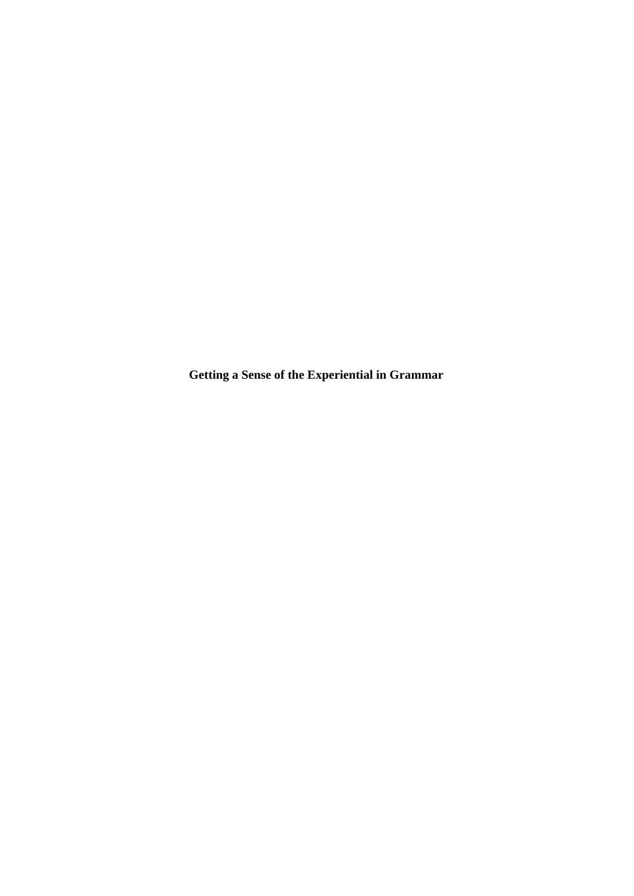**Getting a Sense of the Experiential in Grammar**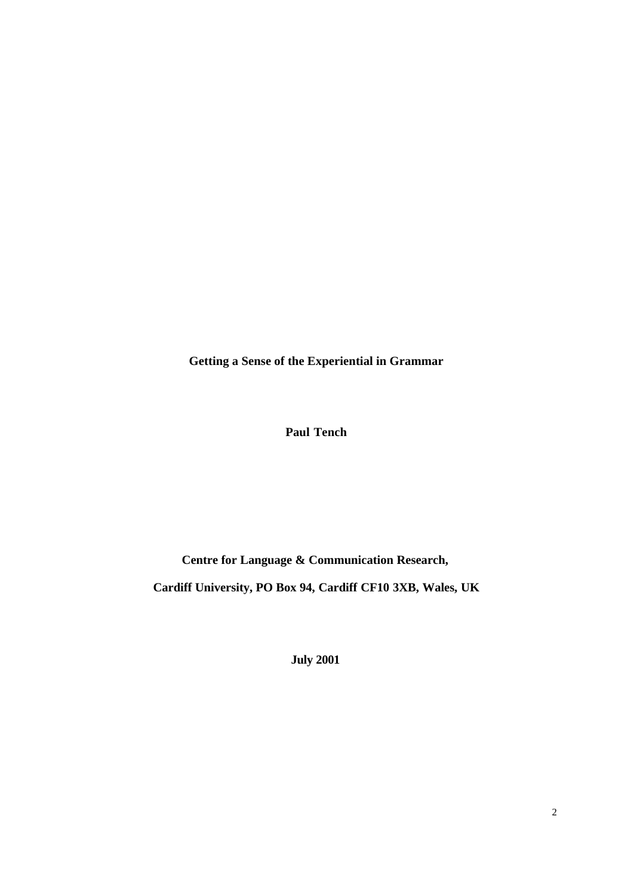**Getting a Sense of the Experiential in Grammar**

**Paul Tench**

**Centre for Language & Communication Research,**

**Cardiff University, PO Box 94, Cardiff CF10 3XB, Wales, UK**

**July 2001**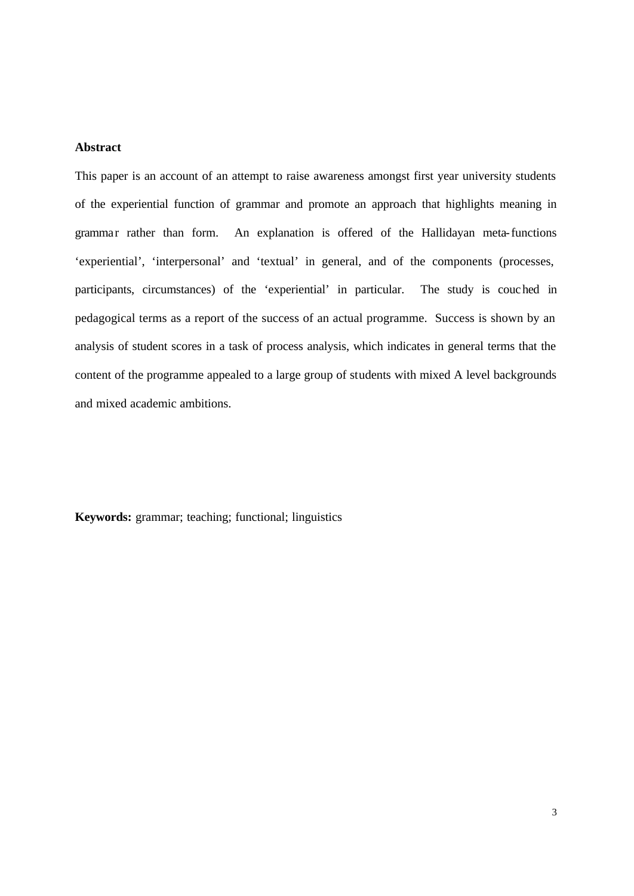# **Abstract**

This paper is an account of an attempt to raise awareness amongst first year university students of the experiential function of grammar and promote an approach that highlights meaning in grammar rather than form. An explanation is offered of the Hallidayan meta-functions 'experiential', 'interpersonal' and 'textual' in general, and of the components (processes, participants, circumstances) of the 'experiential' in particular. The study is couched in pedagogical terms as a report of the success of an actual programme. Success is shown by an analysis of student scores in a task of process analysis, which indicates in general terms that the content of the programme appealed to a large group of students with mixed A level backgrounds and mixed academic ambitions.

**Keywords:** grammar; teaching; functional; linguistics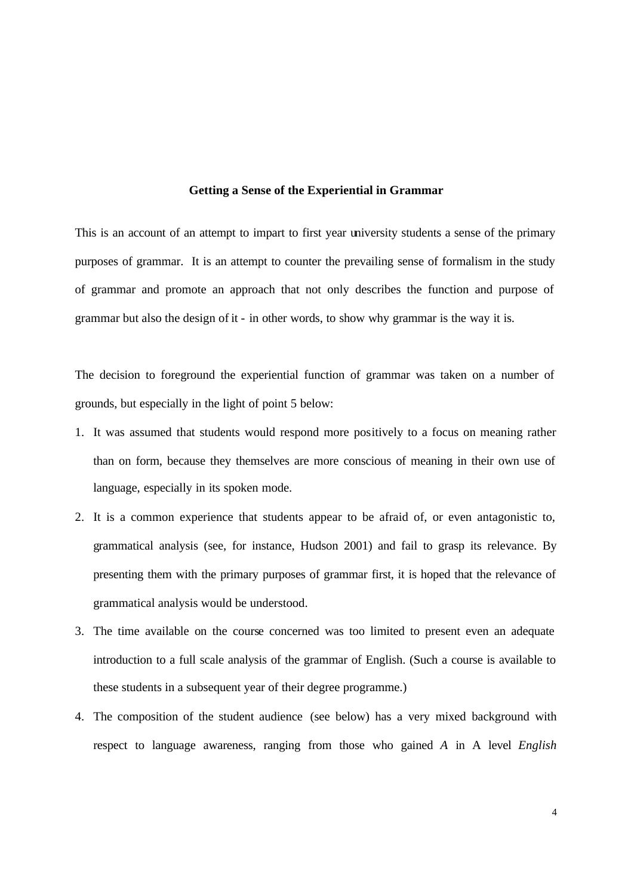#### **Getting a Sense of the Experiential in Grammar**

This is an account of an attempt to impart to first year university students a sense of the primary purposes of grammar. It is an attempt to counter the prevailing sense of formalism in the study of grammar and promote an approach that not only describes the function and purpose of grammar but also the design of it - in other words, to show why grammar is the way it is.

The decision to foreground the experiential function of grammar was taken on a number of grounds, but especially in the light of point 5 below:

- 1. It was assumed that students would respond more positively to a focus on meaning rather than on form, because they themselves are more conscious of meaning in their own use of language, especially in its spoken mode.
- 2. It is a common experience that students appear to be afraid of, or even antagonistic to, grammatical analysis (see, for instance, Hudson 2001) and fail to grasp its relevance. By presenting them with the primary purposes of grammar first, it is hoped that the relevance of grammatical analysis would be understood.
- 3. The time available on the course concerned was too limited to present even an adequate introduction to a full scale analysis of the grammar of English. (Such a course is available to these students in a subsequent year of their degree programme.)
- 4. The composition of the student audience (see below) has a very mixed background with respect to language awareness, ranging from those who gained *A* in A level *English*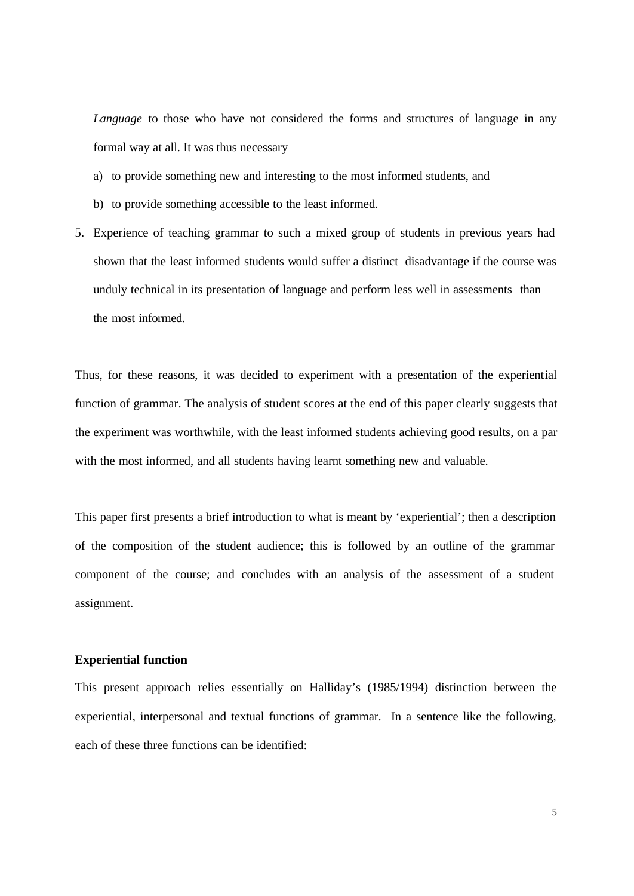*Language* to those who have not considered the forms and structures of language in any formal way at all. It was thus necessary

- a) to provide something new and interesting to the most informed students, and
- b) to provide something accessible to the least informed.
- 5. Experience of teaching grammar to such a mixed group of students in previous years had shown that the least informed students would suffer a distinct disadvantage if the course was unduly technical in its presentation of language and perform less well in assessments than the most informed.

Thus, for these reasons, it was decided to experiment with a presentation of the experiential function of grammar. The analysis of student scores at the end of this paper clearly suggests that the experiment was worthwhile, with the least informed students achieving good results, on a par with the most informed, and all students having learnt something new and valuable.

This paper first presents a brief introduction to what is meant by 'experiential'; then a description of the composition of the student audience; this is followed by an outline of the grammar component of the course; and concludes with an analysis of the assessment of a student assignment.

## **Experiential function**

This present approach relies essentially on Halliday's (1985/1994) distinction between the experiential, interpersonal and textual functions of grammar. In a sentence like the following, each of these three functions can be identified: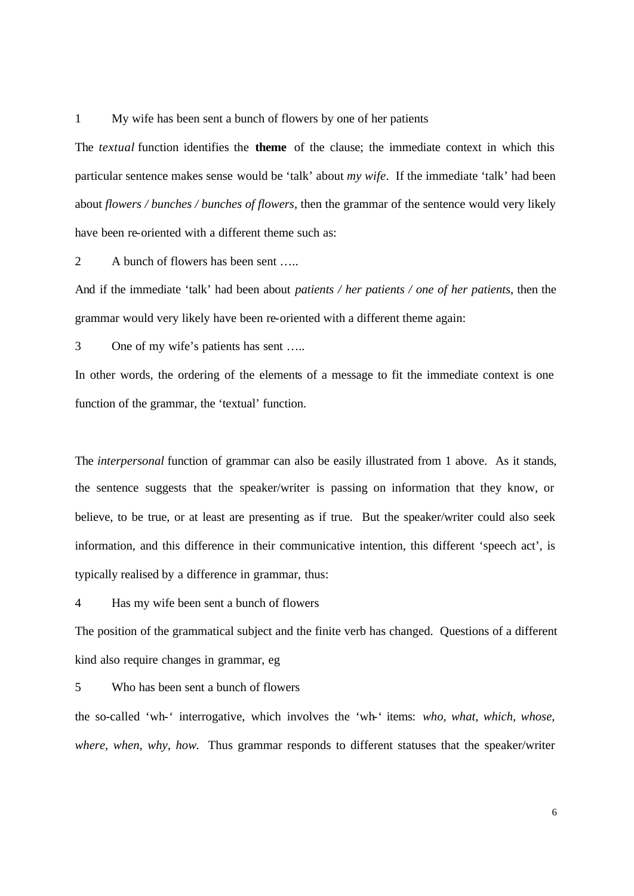1 My wife has been sent a bunch of flowers by one of her patients

The *textual* function identifies the **theme** of the clause; the immediate context in which this particular sentence makes sense would be 'talk' about *my wife*. If the immediate 'talk' had been about *flowers / bunches / bunches of flowers*, then the grammar of the sentence would very likely have been re-oriented with a different theme such as:

2 A bunch of flowers has been sent …..

And if the immediate 'talk' had been about *patients / her patients / one of her patients*, then the grammar would very likely have been re-oriented with a different theme again:

3 One of my wife's patients has sent …..

In other words, the ordering of the elements of a message to fit the immediate context is one function of the grammar, the 'textual' function.

The *interpersonal* function of grammar can also be easily illustrated from 1 above. As it stands, the sentence suggests that the speaker/writer is passing on information that they know, or believe, to be true, or at least are presenting as if true. But the speaker/writer could also seek information, and this difference in their communicative intention, this different 'speech act', is typically realised by a difference in grammar, thus:

4 Has my wife been sent a bunch of flowers

The position of the grammatical subject and the finite verb has changed. Questions of a different kind also require changes in grammar, eg

5 Who has been sent a bunch of flowers

the so-called 'wh-' interrogative, which involves the 'wh-' items: *who, what, which, whose, where, when, why, how.* Thus grammar responds to different statuses that the speaker/writer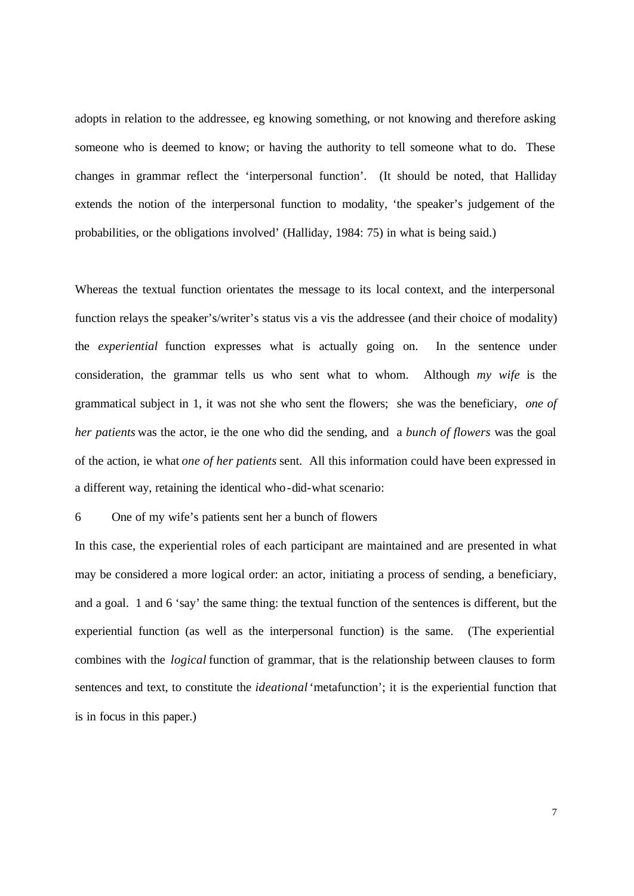adopts in relation to the addressee, eg knowing something, or not knowing and therefore asking someone who is deemed to know; or having the authority to tell someone what to do. These changes in grammar reflect the 'interpersonal function'. (It should be noted, that Halliday extends the notion of the interpersonal function to modality, 'the speaker's judgement of the probabilities, or the obligations involved' (Halliday, 1984: 75) in what is being said.)

Whereas the textual function orientates the message to its local context, and the interpersonal function relays the speaker's/writer's status vis a vis the addressee (and their choice of modality) the *experiential* function expresses what is actually going on. In the sentence under consideration, the grammar tells us who sent what to whom. Although *my wife* is the grammatical subject in 1, it was not she who sent the flowers; she was the beneficiary, *one of her patients* was the actor, ie the one who did the sending, and a *bunch of flowers* was the goal of the action, ie what *one of her patients* sent. All this information could have been expressed in a different way, retaining the identical who-did-what scenario:

6 One of my wife's patients sent her a bunch of flowers

In this case, the experiential roles of each participant are maintained and are presented in what may be considered a more logical order: an actor, initiating a process of sending, a beneficiary, and a goal. 1 and 6 'say' the same thing: the textual function of the sentences is different, but the experiential function (as well as the interpersonal function) is the same. (The experiential combines with the *logical* function of grammar, that is the relationship between clauses to form sentences and text, to constitute the *ideational* 'metafunction'; it is the experiential function that is in focus in this paper.)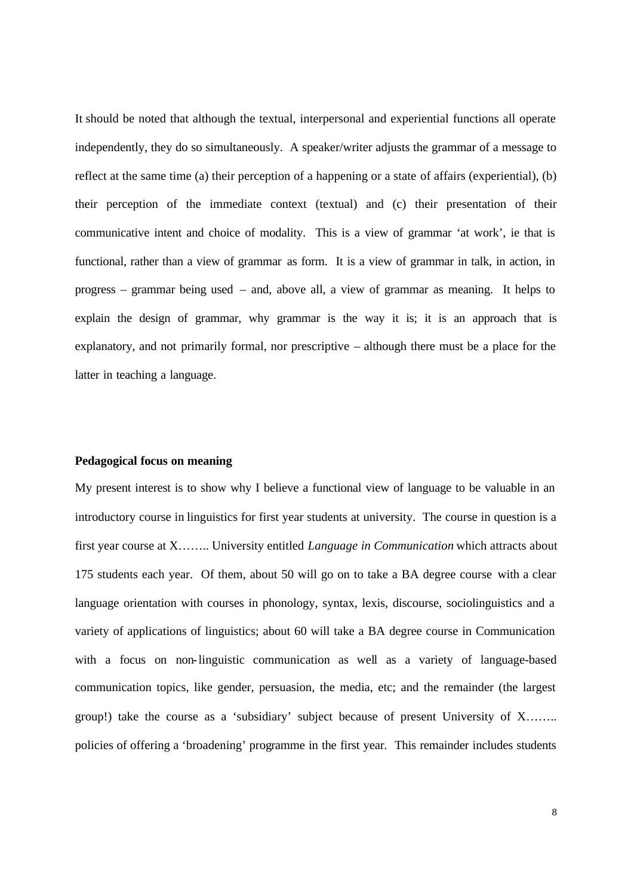It should be noted that although the textual, interpersonal and experiential functions all operate independently, they do so simultaneously. A speaker/writer adjusts the grammar of a message to reflect at the same time (a) their perception of a happening or a state of affairs (experiential), (b) their perception of the immediate context (textual) and (c) their presentation of their communicative intent and choice of modality. This is a view of grammar 'at work', ie that is functional, rather than a view of grammar as form. It is a view of grammar in talk, in action, in progress – grammar being used – and, above all, a view of grammar as meaning. It helps to explain the design of grammar, why grammar is the way it is; it is an approach that is explanatory, and not primarily formal, nor prescriptive – although there must be a place for the latter in teaching a language.

# **Pedagogical focus on meaning**

My present interest is to show why I believe a functional view of language to be valuable in an introductory course in linguistics for first year students at university. The course in question is a first year course at X…….. University entitled *Language in Communication* which attracts about 175 students each year. Of them, about 50 will go on to take a BA degree course with a clear language orientation with courses in phonology, syntax, lexis, discourse, sociolinguistics and a variety of applications of linguistics; about 60 will take a BA degree course in Communication with a focus on non-linguistic communication as well as a variety of language-based communication topics, like gender, persuasion, the media, etc; and the remainder (the largest group!) take the course as a 'subsidiary' subject because of present University of X…….. policies of offering a 'broadening' programme in the first year. This remainder includes students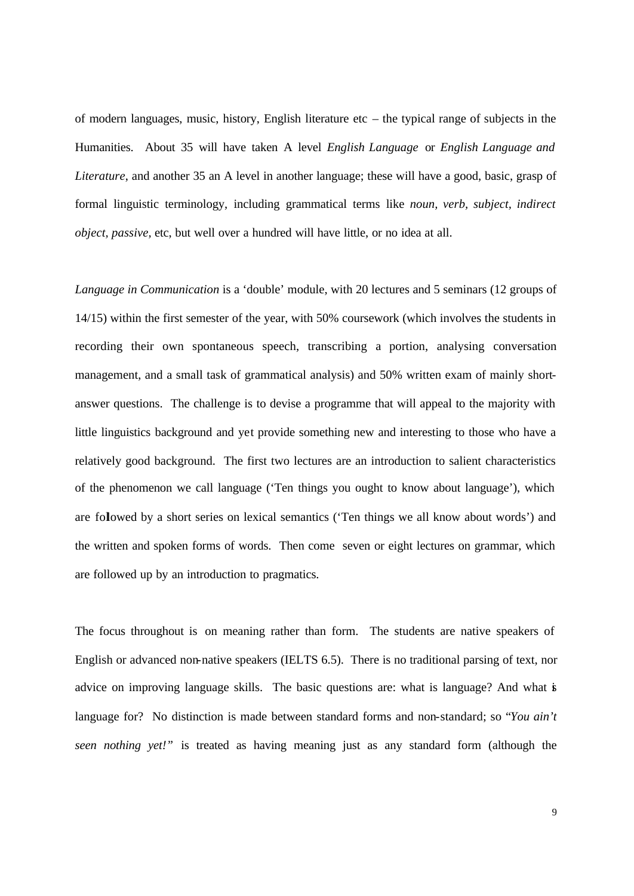of modern languages, music, history, English literature etc – the typical range of subjects in the Humanities. About 35 will have taken A level *English Language* or *English Language and Literature*, and another 35 an A level in another language; these will have a good, basic, grasp of formal linguistic terminology, including grammatical terms like *noun, verb, subject, indirect object, passive,* etc, but well over a hundred will have little, or no idea at all.

*Language in Communication* is a 'double' module, with 20 lectures and 5 seminars (12 groups of 14/15) within the first semester of the year, with 50% coursework (which involves the students in recording their own spontaneous speech, transcribing a portion, analysing conversation management, and a small task of grammatical analysis) and 50% written exam of mainly shortanswer questions. The challenge is to devise a programme that will appeal to the majority with little linguistics background and yet provide something new and interesting to those who have a relatively good background. The first two lectures are an introduction to salient characteristics of the phenomenon we call language ('Ten things you ought to know about language'), which are followed by a short series on lexical semantics ('Ten things we all know about words') and the written and spoken forms of words. Then come seven or eight lectures on grammar, which are followed up by an introduction to pragmatics.

The focus throughout is on meaning rather than form. The students are native speakers of English or advanced non-native speakers (IELTS 6.5). There is no traditional parsing of text, nor advice on improving language skills. The basic questions are: what is language? And what is language for? No distinction is made between standard forms and non-standard; so "*You ain't seen nothing yet!"* is treated as having meaning just as any standard form (although the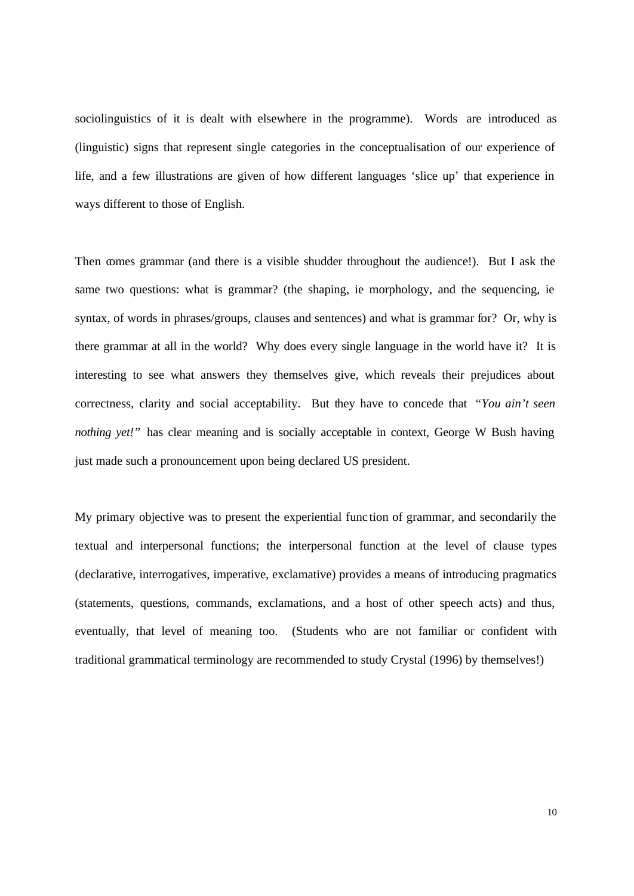sociolinguistics of it is dealt with elsewhere in the programme). Words are introduced as (linguistic) signs that represent single categories in the conceptualisation of our experience of life, and a few illustrations are given of how different languages 'slice up' that experience in ways different to those of English.

Then comes grammar (and there is a visible shudder throughout the audience!). But I ask the same two questions: what is grammar? (the shaping, ie morphology, and the sequencing, ie syntax, of words in phrases/groups, clauses and sentences) and what is grammar for? Or, why is there grammar at all in the world? Why does every single language in the world have it? It is interesting to see what answers they themselves give, which reveals their prejudices about correctness, clarity and social acceptability. But they have to concede that *"You ain't seen nothing yet!*" has clear meaning and is socially acceptable in context, George W Bush having just made such a pronouncement upon being declared US president.

My primary objective was to present the experiential func tion of grammar, and secondarily the textual and interpersonal functions; the interpersonal function at the level of clause types (declarative, interrogatives, imperative, exclamative) provides a means of introducing pragmatics (statements, questions, commands, exclamations, and a host of other speech acts) and thus, eventually, that level of meaning too. (Students who are not familiar or confident with traditional grammatical terminology are recommended to study Crystal (1996) by themselves!)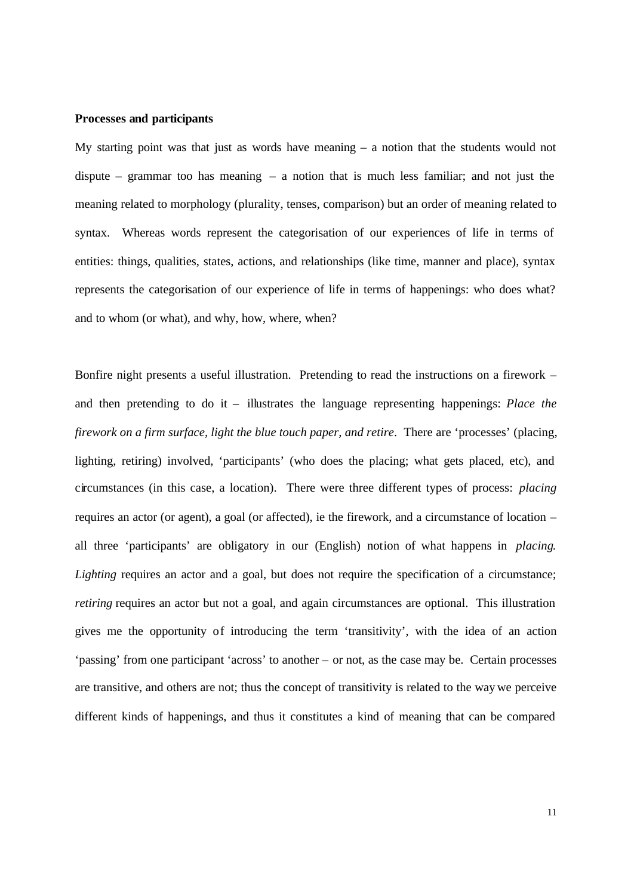#### **Processes and participants**

My starting point was that just as words have meaning – a notion that the students would not dispute – grammar too has meaning – a notion that is much less familiar; and not just the meaning related to morphology (plurality, tenses, comparison) but an order of meaning related to syntax. Whereas words represent the categorisation of our experiences of life in terms of entities: things, qualities, states, actions, and relationships (like time, manner and place), syntax represents the categorisation of our experience of life in terms of happenings: who does what? and to whom (or what), and why, how, where, when?

Bonfire night presents a useful illustration. Pretending to read the instructions on a firework – and then pretending to do it – illustrates the language representing happenings: *Place the firework on a firm surface, light the blue touch paper, and retire.* There are 'processes' (placing, lighting, retiring) involved, 'participants' (who does the placing; what gets placed, etc), and circumstances (in this case, a location). There were three different types of process: *placing* requires an actor (or agent), a goal (or affected), ie the firework, and a circumstance of location – all three 'participants' are obligatory in our (English) notion of what happens in *placing*. Lighting requires an actor and a goal, but does not require the specification of a circumstance; *retiring* requires an actor but not a goal, and again circumstances are optional. This illustration gives me the opportunity of introducing the term 'transitivity', with the idea of an action 'passing' from one participant 'across' to another – or not, as the case may be. Certain processes are transitive, and others are not; thus the concept of transitivity is related to the way we perceive different kinds of happenings, and thus it constitutes a kind of meaning that can be compared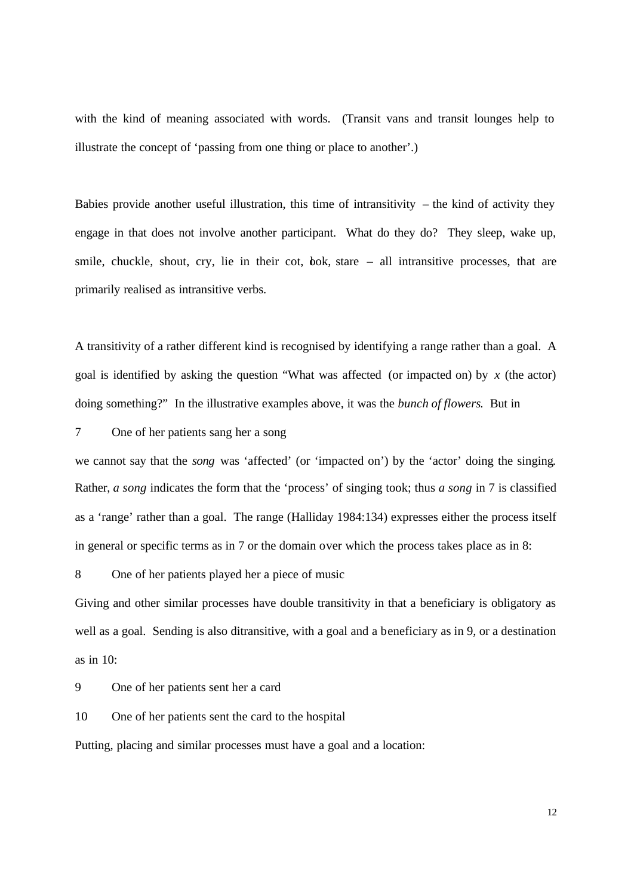with the kind of meaning associated with words. (Transit vans and transit lounges help to illustrate the concept of 'passing from one thing or place to another'.)

Babies provide another useful illustration, this time of intransitivity  $-$  the kind of activity they engage in that does not involve another participant. What do they do? They sleep, wake up, smile, chuckle, shout, cry, lie in their cot, bok, stare  $-$  all intransitive processes, that are primarily realised as intransitive verbs.

A transitivity of a rather different kind is recognised by identifying a range rather than a goal. A goal is identified by asking the question "What was affected (or impacted on) by *x* (the actor) doing something?" In the illustrative examples above, it was the *bunch of flowers*. But in

# 7 One of her patients sang her a song

we cannot say that the *song* was 'affected' (or 'impacted on') by the 'actor' doing the singing. Rather, *a song* indicates the form that the 'process' of singing took; thus *a song* in 7 is classified as a 'range' rather than a goal. The range (Halliday 1984:134) expresses either the process itself in general or specific terms as in 7 or the domain over which the process takes place as in 8:

8 One of her patients played her a piece of music

Giving and other similar processes have double transitivity in that a beneficiary is obligatory as well as a goal. Sending is also ditransitive, with a goal and a beneficiary as in 9, or a destination as in 10:

9 One of her patients sent her a card

10 One of her patients sent the card to the hospital

Putting, placing and similar processes must have a goal and a location: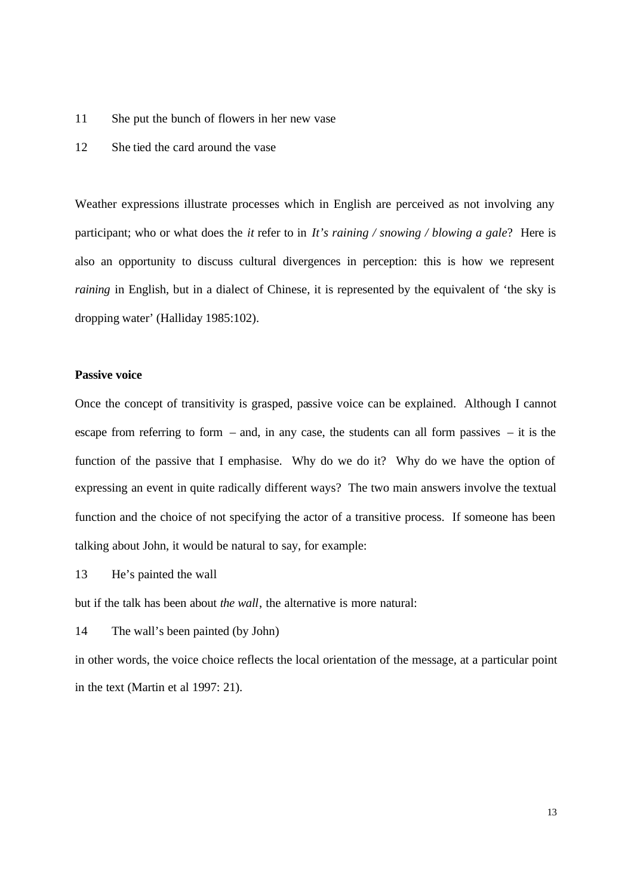- 11 She put the bunch of flowers in her new vase
- 12 She tied the card around the vase

Weather expressions illustrate processes which in English are perceived as not involving any participant; who or what does the *it* refer to in *It's raining / snowing / blowing a gale*? Here is also an opportunity to discuss cultural divergences in perception: this is how we represent *raining* in English, but in a dialect of Chinese, it is represented by the equivalent of 'the sky is dropping water' (Halliday 1985:102).

#### **Passive voice**

Once the concept of transitivity is grasped, passive voice can be explained. Although I cannot escape from referring to form – and, in any case, the students can all form passives – it is the function of the passive that I emphasise. Why do we do it? Why do we have the option of expressing an event in quite radically different ways? The two main answers involve the textual function and the choice of not specifying the actor of a transitive process. If someone has been talking about John, it would be natural to say, for example:

13 He's painted the wall

but if the talk has been about *the wall*, the alternative is more natural:

14 The wall's been painted (by John)

in other words, the voice choice reflects the local orientation of the message, at a particular point in the text (Martin et al 1997: 21).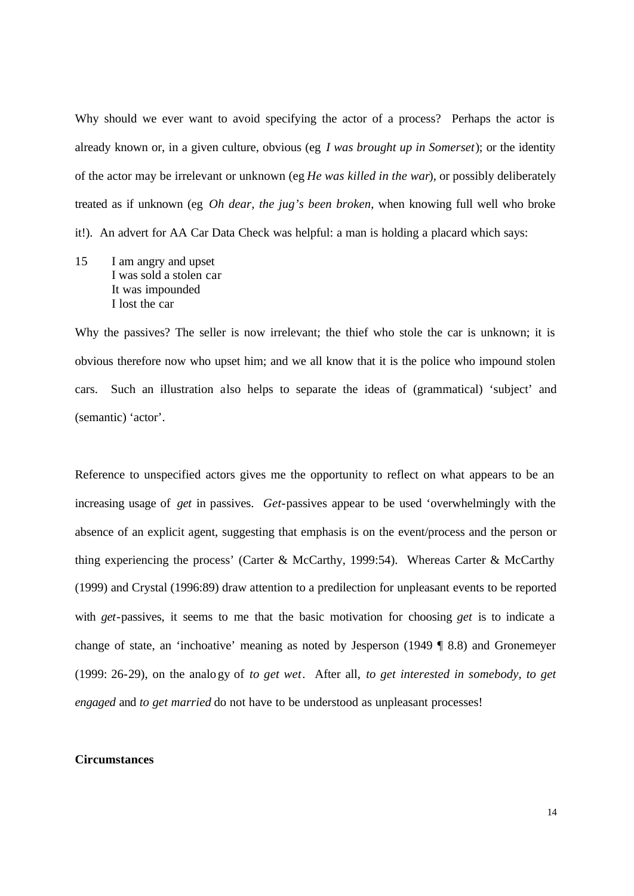Why should we ever want to avoid specifying the actor of a process? Perhaps the actor is already known or, in a given culture, obvious (eg *I was brought up in Somerset*); or the identity of the actor may be irrelevant or unknown (eg *He was killed in the war*), or possibly deliberately treated as if unknown (eg *Oh dear, the jug's been broken*, when knowing full well who broke it!). An advert for AA Car Data Check was helpful: a man is holding a placard which says:

15 I am angry and upset I was sold a stolen car It was impounded I lost the car

Why the passives? The seller is now irrelevant; the thief who stole the car is unknown; it is obvious therefore now who upset him; and we all know that it is the police who impound stolen cars. Such an illustration also helps to separate the ideas of (grammatical) 'subject' and (semantic) 'actor'.

Reference to unspecified actors gives me the opportunity to reflect on what appears to be an increasing usage of *get* in passives. *Get*-passives appear to be used 'overwhelmingly with the absence of an explicit agent, suggesting that emphasis is on the event/process and the person or thing experiencing the process' (Carter & McCarthy, 1999:54). Whereas Carter & McCarthy (1999) and Crystal (1996:89) draw attention to a predilection for unpleasant events to be reported with *get*-passives, it seems to me that the basic motivation for choosing *get* is to indicate a change of state, an 'inchoative' meaning as noted by Jesperson (1949 ¶ 8.8) and Gronemeyer (1999: 26-29), on the analo gy of *to get wet*. After all, *to get interested in somebody, to get engaged* and *to get married* do not have to be understood as unpleasant processes!

## **Circumstances**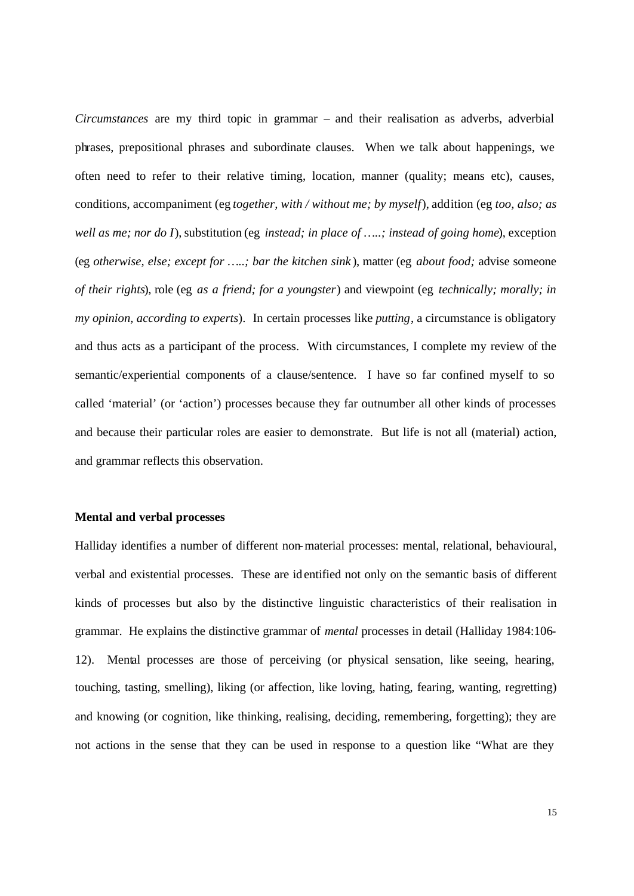*Circumstances* are my third topic in grammar – and their realisation as adverbs, adverbial phrases, prepositional phrases and subordinate clauses. When we talk about happenings, we often need to refer to their relative timing, location, manner (quality; means etc), causes, conditions, accompaniment (eg *together, with / without me; by myself*), addition (eg *too, also; as well as me; nor do I*), substitution (eg *instead; in place of …..; instead of going home*), exception (eg *otherwise, else; except for …..; bar the kitchen sink* ), matter (eg *about food;* advise someone *of their rights*), role (eg *as a friend; for a youngster*) and viewpoint (eg *technically; morally; in my opinion, according to experts*). In certain processes like *putting*, a circumstance is obligatory and thus acts as a participant of the process. With circumstances, I complete my review of the semantic/experiential components of a clause/sentence. I have so far confined myself to so called 'material' (or 'action') processes because they far outnumber all other kinds of processes and because their particular roles are easier to demonstrate. But life is not all (material) action, and grammar reflects this observation.

# **Mental and verbal processes**

Halliday identifies a number of different non-material processes: mental, relational, behavioural, verbal and existential processes. These are identified not only on the semantic basis of different kinds of processes but also by the distinctive linguistic characteristics of their realisation in grammar. He explains the distinctive grammar of *mental* processes in detail (Halliday 1984:106- 12). Mental processes are those of perceiving (or physical sensation, like seeing, hearing, touching, tasting, smelling), liking (or affection, like loving, hating, fearing, wanting, regretting) and knowing (or cognition, like thinking, realising, deciding, remembering, forgetting); they are not actions in the sense that they can be used in response to a question like "What are they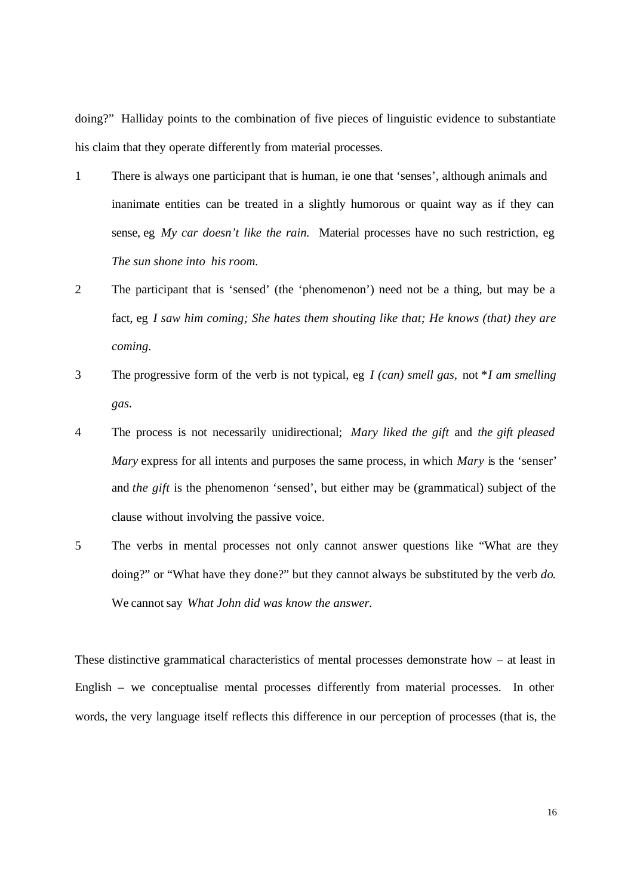doing?"Halliday points to the combination of five pieces of linguistic evidence to substantiate his claim that they operate differently from material processes.

- 1 There is always one participant that is human, ie one that 'senses', although animals and inanimate entities can be treated in a slightly humorous or quaint way as if they can sense, eg *My car doesn't like the rain.* Material processes have no such restriction, eg *The sun shone into his room.*
- 2 The participant that is 'sensed' (the 'phenomenon') need not be a thing, but may be a fact, eg *I saw him coming; She hates them shouting like that; He knows (that) they are coming.*
- 3 The progressive form of the verb is not typical, eg *I (can) smell gas,* not \**I am smelling gas.*
- 4 The process is not necessarily unidirectional; *Mary liked the gift* and *the gift pleased Mary* express for all intents and purposes the same process, in which *Mary* is the 'senser' and *the gift* is the phenomenon 'sensed', but either may be (grammatical) subject of the clause without involving the passive voice.
- 5 The verbs in mental processes not only cannot answer questions like "What are they doing?" or "What have they done?" but they cannot always be substituted by the verb *do*. We cannot say *What John did was know the answer.*

These distinctive grammatical characteristics of mental processes demonstrate how  $-$  at least in English – we conceptualise mental processes differently from material processes. In other words, the very language itself reflects this difference in our perception of processes (that is, the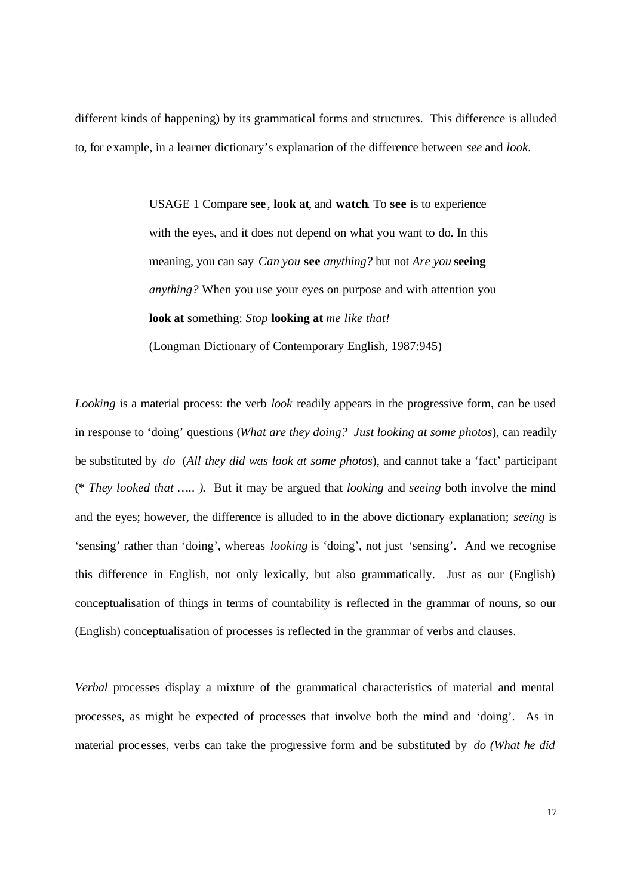different kinds of happening) by its grammatical forms and structures. This difference is alluded to, for example, in a learner dictionary's explanation of the difference between *see* and *look.*

> USAGE 1 Compare **see** , **look at**, and **watch**. To **see** is to experience with the eyes, and it does not depend on what you want to do. In this meaning, you can say *Can you* **see** *anything?* but not *Are you* **seeing** *anything?* When you use your eyes on purpose and with attention you **look at** something: *Stop* **looking at** *me like that!* (Longman Dictionary of Contemporary English, 1987:945)

*Looking* is a material process: the verb *look* readily appears in the progressive form, can be used in response to 'doing' questions (*What are they doing? Just looking at some photos*), can readily be substituted by *do* (*All they did was look at some photos*), and cannot take a 'fact' participant (\* *They looked that ….. )*. But it may be argued that *looking* and *seeing* both involve the mind and the eyes; however, the difference is alluded to in the above dictionary explanation; *seeing* is 'sensing' rather than 'doing', whereas *looking* is 'doing', not just 'sensing'. And we recognise this difference in English, not only lexically, but also grammatically. Just as our (English) conceptualisation of things in terms of countability is reflected in the grammar of nouns, so our (English) conceptualisation of processes is reflected in the grammar of verbs and clauses.

*Verbal* processes display a mixture of the grammatical characteristics of material and mental processes, as might be expected of processes that involve both the mind and 'doing'. As in material proc esses, verbs can take the progressive form and be substituted by *do (What he did*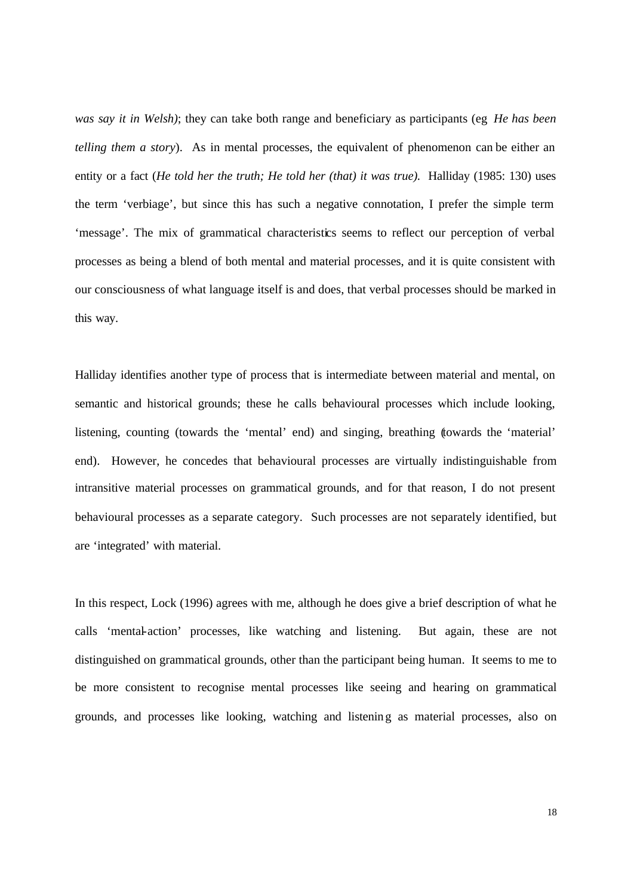*was say it in Welsh)*; they can take both range and beneficiary as participants (eg *He has been telling them a story*). As in mental processes, the equivalent of phenomenon can be either an entity or a fact (*He told her the truth; He told her (that) it was true*). Halliday (1985: 130) uses the term 'verbiage', but since this has such a negative connotation, I prefer the simple term 'message'. The mix of grammatical characteristics seems to reflect our perception of verbal processes as being a blend of both mental and material processes, and it is quite consistent with our consciousness of what language itself is and does, that verbal processes should be marked in this way.

Halliday identifies another type of process that is intermediate between material and mental, on semantic and historical grounds; these he calls behavioural processes which include looking, listening, counting (towards the 'mental' end) and singing, breathing (towards the 'material' end). However, he concedes that behavioural processes are virtually indistinguishable from intransitive material processes on grammatical grounds, and for that reason, I do not present behavioural processes as a separate category. Such processes are not separately identified, but are 'integrated' with material.

In this respect, Lock (1996) agrees with me, although he does give a brief description of what he calls 'mental-action' processes, like watching and listening. But again, these are not distinguished on grammatical grounds, other than the participant being human. It seems to me to be more consistent to recognise mental processes like seeing and hearing on grammatical grounds, and processes like looking, watching and listening as material processes, also on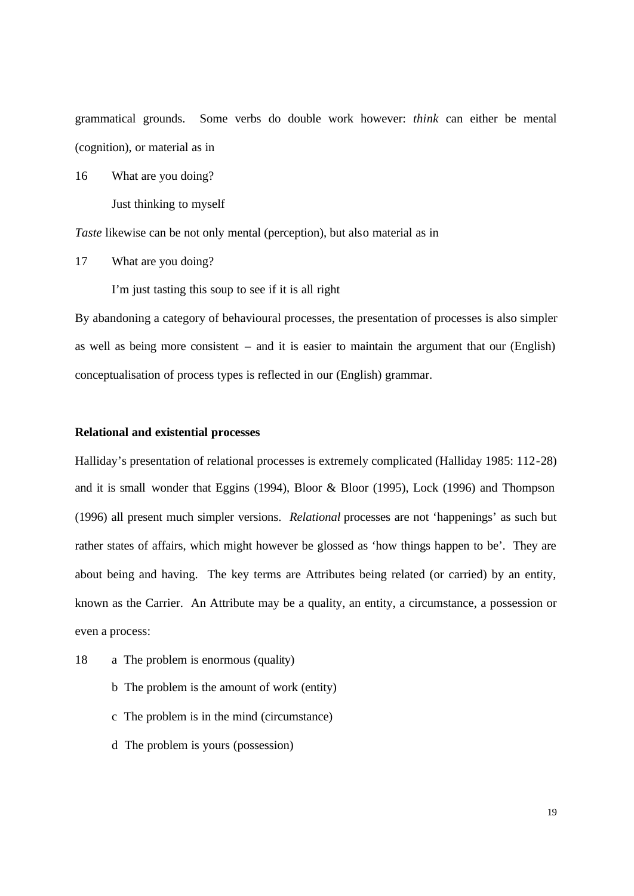grammatical grounds. Some verbs do double work however: *think* can either be mental (cognition), or material as in

16 What are you doing?

Just thinking to myself

*Taste* likewise can be not only mental (perception), but also material as in

17 What are you doing?

I'm just tasting this soup to see if it is all right

By abandoning a category of behavioural processes, the presentation of processes is also simpler as well as being more consistent – and it is easier to maintain the argument that our (English) conceptualisation of process types is reflected in our (English) grammar.

### **Relational and existential processes**

Halliday's presentation of relational processes is extremely complicated (Halliday 1985: 112-28) and it is small wonder that Eggins (1994), Bloor & Bloor (1995), Lock (1996) and Thompson (1996) all present much simpler versions. *Relational* processes are not 'happenings' as such but rather states of affairs, which might however be glossed as 'how things happen to be'. They are about being and having. The key terms are Attributes being related (or carried) by an entity, known as the Carrier. An Attribute may be a quality, an entity, a circumstance, a possession or even a process:

- 18 a The problem is enormous (quality)
	- b The problem is the amount of work (entity)
	- c The problem is in the mind (circumstance)
	- d The problem is yours (possession)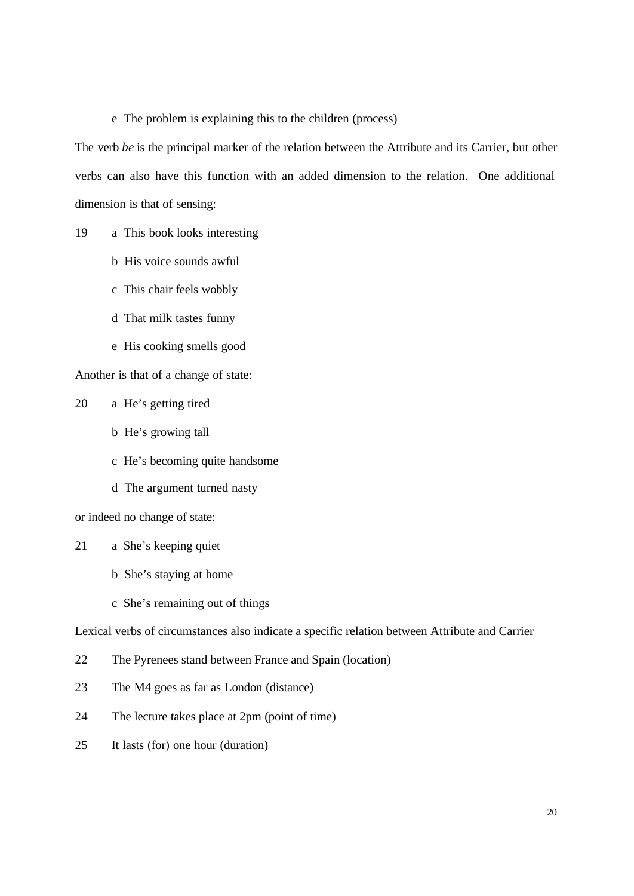e The problem is explaining this to the children (process)

The verb *be* is the principal marker of the relation between the Attribute and its Carrier, but other verbs can also have this function with an added dimension to the relation. One additional dimension is that of sensing:

19 a This book looks interesting

- b His voice sounds awful
- c This chair feels wobbly
- d That milk tastes funny
- e His cooking smells good

Another is that of a change of state:

20 a He's getting tired

- b He's growing tall
- c He's becoming quite handsome
- d The argument turned nasty

or indeed no change of state:

- 21 a She's keeping quiet
	- b She's staying at home
	- c She's remaining out of things

Lexical verbs of circumstances also indicate a specific relation between Attribute and Carrier

- 22 The Pyrenees stand between France and Spain (location)
- 23 The M4 goes as far as London (distance)
- 24 The lecture takes place at 2pm (point of time)
- 25 It lasts (for) one hour (duration)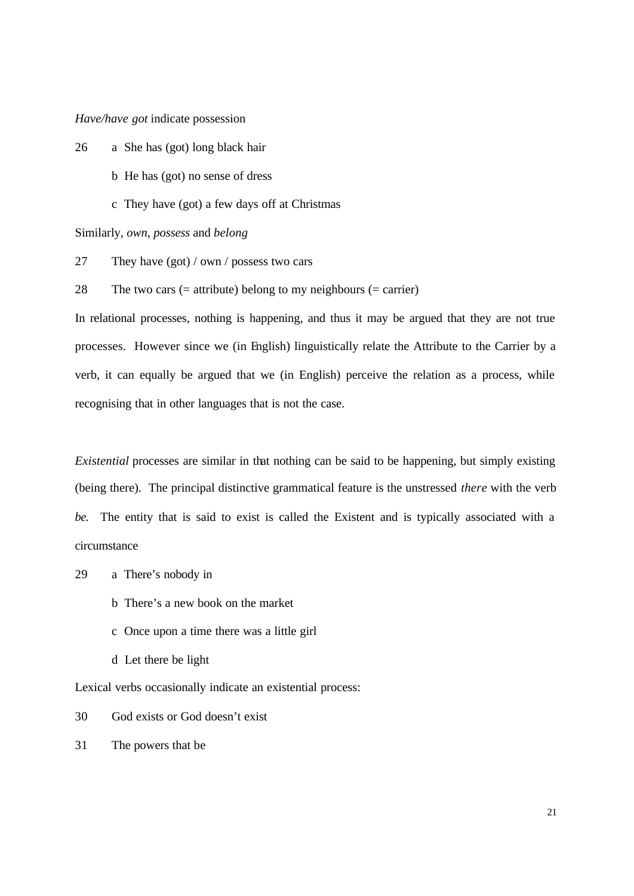*Have/have got* indicate possession

26 a She has (got) long black hair

- b He has (got) no sense of dress
- c They have (got) a few days off at Christmas

Similarly, *own, possess* and *belong*

27 They have (got) / own / possess two cars

28 The two cars  $(=$  attribute) belong to my neighbours  $(=$  carrier)

In relational processes, nothing is happening, and thus it may be argued that they are not true processes. However since we (in English) linguistically relate the Attribute to the Carrier by a verb, it can equally be argued that we (in English) perceive the relation as a process, while recognising that in other languages that is not the case.

*Existential* processes are similar in that nothing can be said to be happening, but simply existing (being there). The principal distinctive grammatical feature is the unstressed *there* with the verb *be.* The entity that is said to exist is called the Existent and is typically associated with a circumstance

- 29 a There's nobody in
	- b There's a new book on the market
	- c Once upon a time there was a little girl
	- d Let there be light

Lexical verbs occasionally indicate an existential process:

- 30 God exists or God doesn't exist
- 31 The powers that be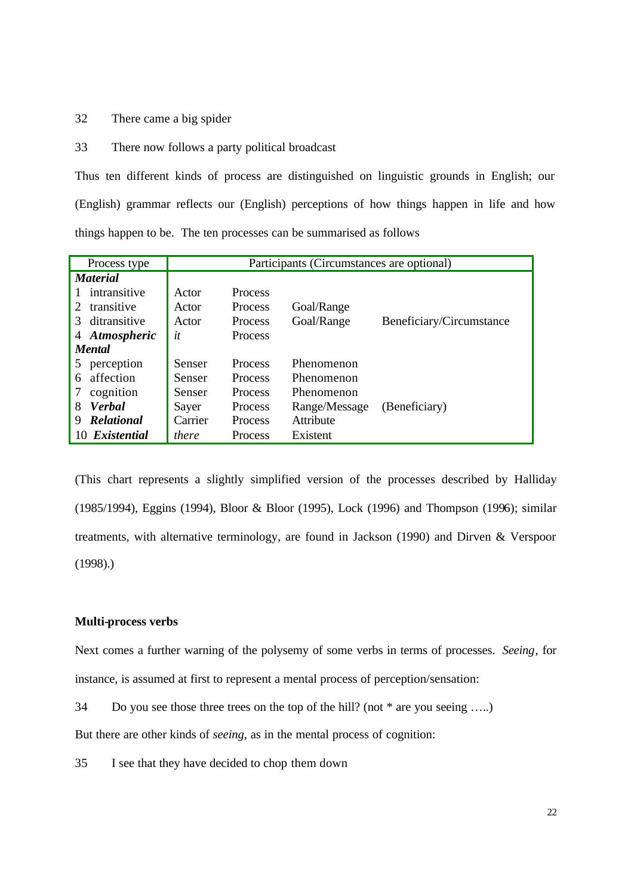# 32 There came a big spider

33 There now follows a party political broadcast

Thus ten different kinds of process are distinguished on linguistic grounds in English; our (English) grammar reflects our (English) perceptions of how things happen in life and how things happen to be. The ten processes can be summarised as follows

| Process type                | Participants (Circumstances are optional) |                |               |                          |  |  |
|-----------------------------|-------------------------------------------|----------------|---------------|--------------------------|--|--|
| <i>Material</i>             |                                           |                |               |                          |  |  |
| intransitive                | Actor                                     | <b>Process</b> |               |                          |  |  |
| transitive<br>$\mathcal{L}$ | Actor                                     | <b>Process</b> | Goal/Range    |                          |  |  |
| ditransitive<br>3           | Actor                                     | <b>Process</b> | Goal/Range    | Beneficiary/Circumstance |  |  |
| 4 Atmospheric               | it                                        | <b>Process</b> |               |                          |  |  |
| <b>Mental</b>               |                                           |                |               |                          |  |  |
| perception<br>5             | Senser                                    | <b>Process</b> | Phenomenon    |                          |  |  |
| affection<br>6              | Senser                                    | <b>Process</b> | Phenomenon    |                          |  |  |
| cognition<br>7              | Senser                                    | <b>Process</b> | Phenomenon    |                          |  |  |
| <b>Verbal</b><br>8          | Sayer                                     | <b>Process</b> | Range/Message | (Beneficiary)            |  |  |
| <b>Relational</b><br>9      | Carrier                                   | <b>Process</b> | Attribute     |                          |  |  |
| Existential<br>10           | there                                     | Process        | Existent      |                          |  |  |

(This chart represents a slightly simplified version of the processes described by Halliday (1985/1994), Eggins (1994), Bloor & Bloor (1995), Lock (1996) and Thompson (1996); similar treatments, with alternative terminology, are found in Jackson (1990) and Dirven & Verspoor (1998).)

### **Multi-process verbs**

Next comes a further warning of the polysemy of some verbs in terms of processes. *Seeing*, for instance, is assumed at first to represent a mental process of perception/sensation:

34 Do you see those three trees on the top of the hill? (not \* are you seeing …..)

But there are other kinds of *seeing*, as in the mental process of cognition:

35 I see that they have decided to chop them down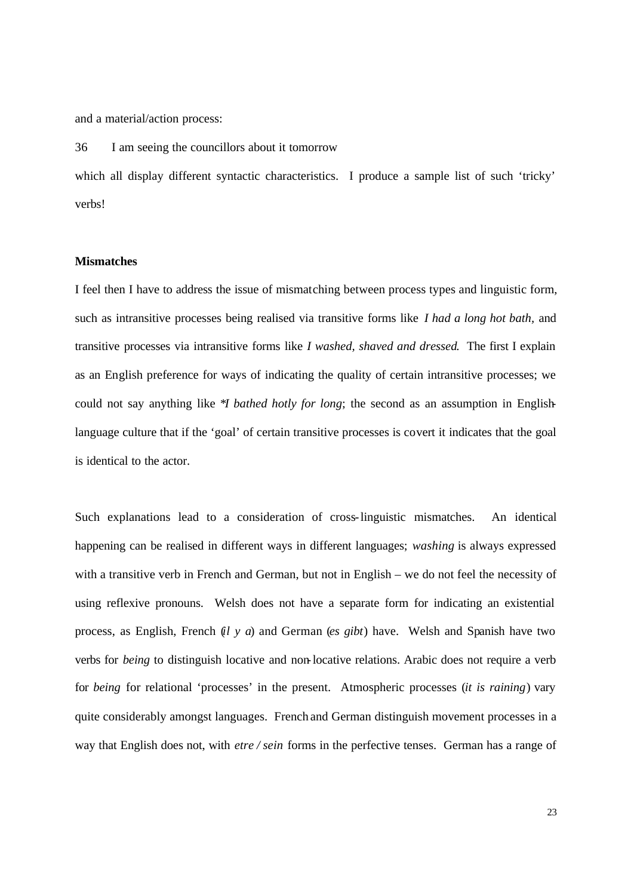and a material/action process:

36 I am seeing the councillors about it tomorrow

which all display different syntactic characteristics. I produce a sample list of such 'tricky' verbs!

## **Mismatches**

I feel then I have to address the issue of mismatching between process types and linguistic form, such as intransitive processes being realised via transitive forms like *I had a long hot bath,* and transitive processes via intransitive forms like *I washed, shaved and dressed*. The first I explain as an English preference for ways of indicating the quality of certain intransitive processes; we could not say anything like \**I bathed hotly for long*; the second as an assumption in Englishlanguage culture that if the 'goal' of certain transitive processes is covert it indicates that the goal is identical to the actor.

Such explanations lead to a consideration of cross-linguistic mismatches. An identical happening can be realised in different ways in different languages; *washing* is always expressed with a transitive verb in French and German, but not in English – we do not feel the necessity of using reflexive pronouns. Welsh does not have a separate form for indicating an existential process, as English, French (*il y a*) and German (*es gibt*) have. Welsh and Spanish have two verbs for *being* to distinguish locative and non-locative relations. Arabic does not require a verb for *being* for relational 'processes' in the present. Atmospheric processes (*it is raining*) vary quite considerably amongst languages. French and German distinguish movement processes in a way that English does not, with *etre / sein* forms in the perfective tenses. German has a range of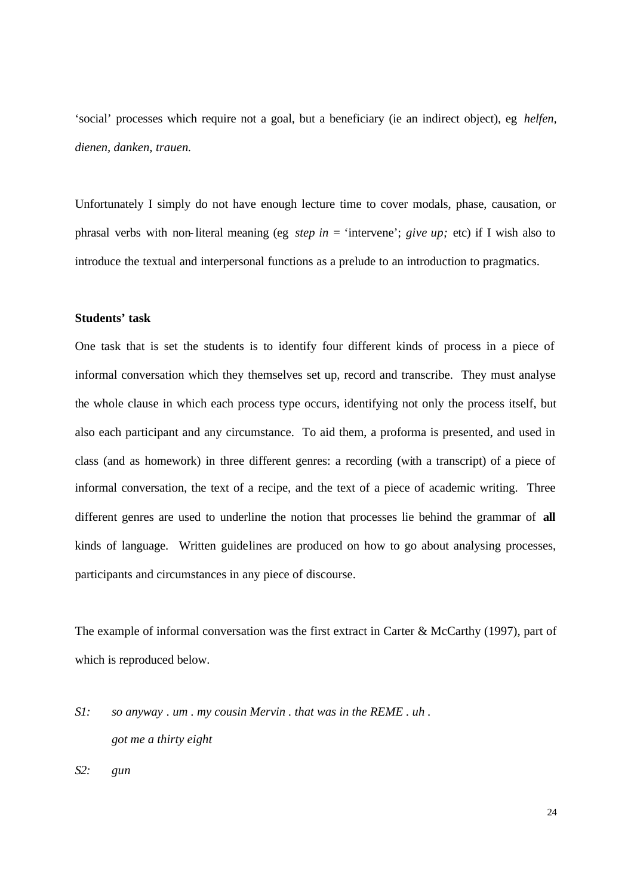'social' processes which require not a goal, but a beneficiary (ie an indirect object), eg *helfen, dienen, danken, trauen.*

Unfortunately I simply do not have enough lecture time to cover modals, phase, causation, or phrasal verbs with non-literal meaning (eg *step in* = 'intervene'; *give up;* etc) if I wish also to introduce the textual and interpersonal functions as a prelude to an introduction to pragmatics.

### **Students' task**

One task that is set the students is to identify four different kinds of process in a piece of informal conversation which they themselves set up, record and transcribe. They must analyse the whole clause in which each process type occurs, identifying not only the process itself, but also each participant and any circumstance. To aid them, a proforma is presented, and used in class (and as homework) in three different genres: a recording (with a transcript) of a piece of informal conversation, the text of a recipe, and the text of a piece of academic writing. Three different genres are used to underline the notion that processes lie behind the grammar of **all** kinds of language. Written guidelines are produced on how to go about analysing processes, participants and circumstances in any piece of discourse.

The example of informal conversation was the first extract in Carter & McCarthy (1997), part of which is reproduced below.

*S1: so anyway . um . my cousin Mervin . that was in the REME . uh . got me a thirty eight*

*S2: gun*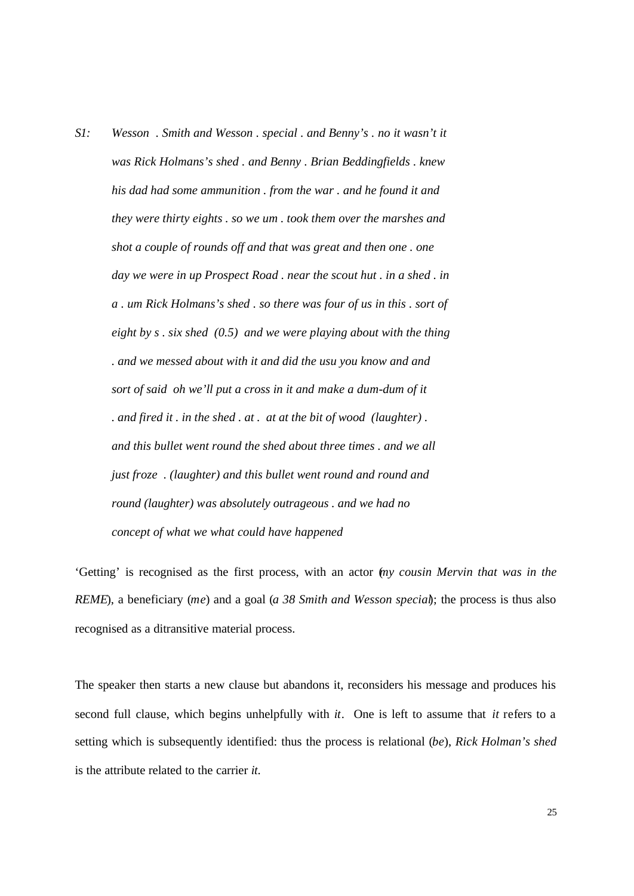*S1: Wesson . Smith and Wesson . special . and Benny's . no it wasn't it was Rick Holmans's shed . and Benny . Brian Beddingfields . knew his dad had some ammunition . from the war . and he found it and they were thirty eights . so we um . took them over the marshes and shot a couple of rounds off and that was great and then one . one day we were in up Prospect Road . near the scout hut . in a shed . in a . um Rick Holmans's shed . so there was four of us in this . sort of eight by s . six shed (0.5) and we were playing about with the thing . and we messed about with it and did the usu you know and and sort of said oh we'll put a cross in it and make a dum-dum of it . and fired it . in the shed . at . at at the bit of wood (laughter) . and this bullet went round the shed about three times . and we all just froze . (laughter) and this bullet went round and round and round (laughter) was absolutely outrageous . and we had no concept of what we what could have happened*

'Getting' is recognised as the first process, with an actor (*my cousin Mervin that was in the REME*), a beneficiary (*me*) and a goal (*a 38 Smith and Wesson special*); the process is thus also recognised as a ditransitive material process.

The speaker then starts a new clause but abandons it, reconsiders his message and produces his second full clause, which begins unhelpfully with *it*. One is left to assume that *it* refers to a setting which is subsequently identified: thus the process is relational (*be*), *Rick Holman's shed* is the attribute related to the carrier *it*.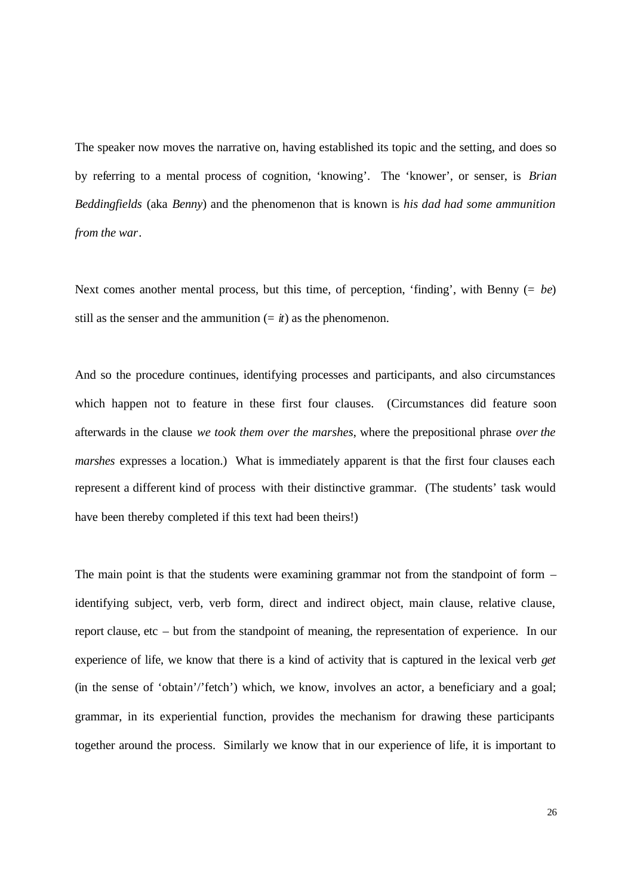The speaker now moves the narrative on, having established its topic and the setting, and does so by referring to a mental process of cognition, 'knowing'. The 'knower', or senser, is *Brian Beddingfields* (aka *Benny*) and the phenomenon that is known is *his dad had some ammunition from the war*.

Next comes another mental process, but this time, of perception, 'finding', with Benny (= *be*) still as the senser and the ammunition  $(= *i*)$  as the phenomenon.

And so the procedure continues, identifying processes and participants, and also circumstances which happen not to feature in these first four clauses. (Circumstances did feature soon afterwards in the clause *we took them over the marshes*, where the prepositional phrase *over the marshes* expresses a location.) What is immediately apparent is that the first four clauses each represent a different kind of process with their distinctive grammar. (The students' task would have been thereby completed if this text had been theirs!)

The main point is that the students were examining grammar not from the standpoint of form – identifying subject, verb, verb form, direct and indirect object, main clause, relative clause, report clause, etc – but from the standpoint of meaning, the representation of experience. In our experience of life, we know that there is a kind of activity that is captured in the lexical verb *get* (in the sense of 'obtain'/'fetch') which, we know, involves an actor, a beneficiary and a goal; grammar, in its experiential function, provides the mechanism for drawing these participants together around the process. Similarly we know that in our experience of life, it is important to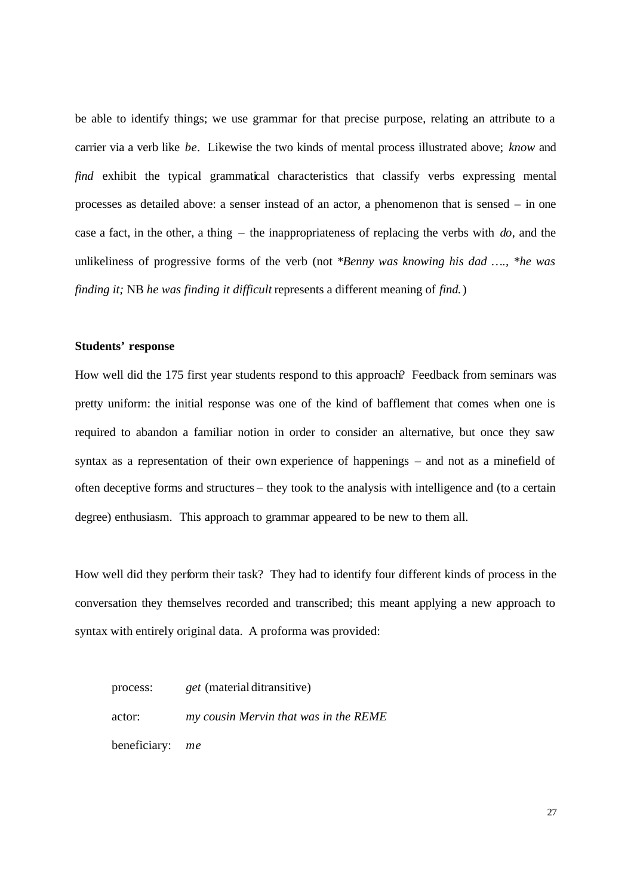be able to identify things; we use grammar for that precise purpose, relating an attribute to a carrier via a verb like *be*. Likewise the two kinds of mental process illustrated above; *know* and *find* exhibit the typical grammatical characteristics that classify verbs expressing mental processes as detailed above: a senser instead of an actor, a phenomenon that is sensed – in one case a fact, in the other, a thing – the inappropriateness of replacing the verbs with *do*, and the unlikeliness of progressive forms of the verb (not \**Benny was knowing his dad …., \*he was finding it;* NB *he was finding it difficult* represents a different meaning of *find.*)

#### **Students' response**

How well did the 175 first year students respond to this approach? Feedback from seminars was pretty uniform: the initial response was one of the kind of bafflement that comes when one is required to abandon a familiar notion in order to consider an alternative, but once they saw syntax as a representation of their own experience of happenings – and not as a minefield of often deceptive forms and structures – they took to the analysis with intelligence and (to a certain degree) enthusiasm. This approach to grammar appeared to be new to them all.

How well did they perform their task? They had to identify four different kinds of process in the conversation they themselves recorded and transcribed; this meant applying a new approach to syntax with entirely original data. A proforma was provided:

process: *get* (material ditransitive) actor: *my cousin Mervin that was in the REME* beneficiary: *me*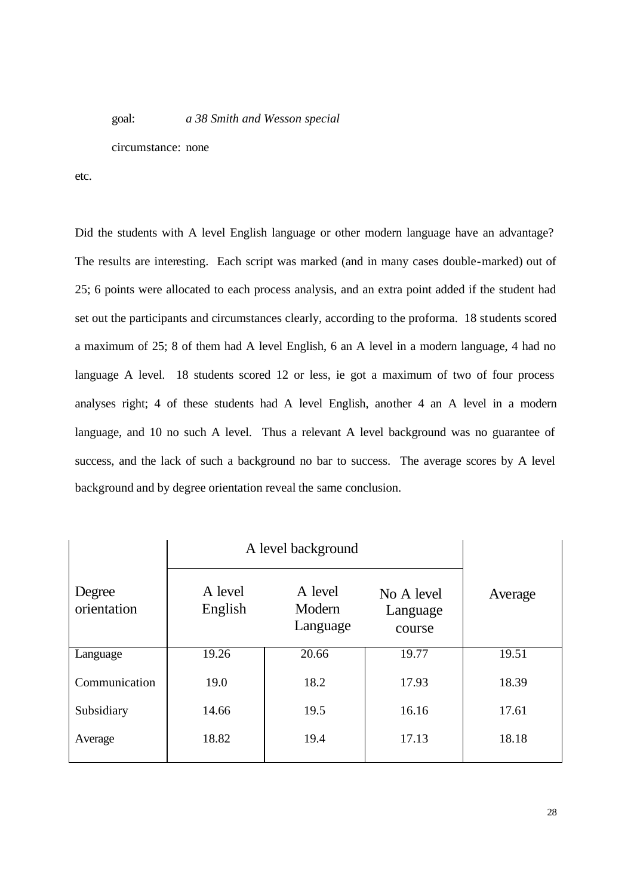goal: *a 38 Smith and Wesson special*

circumstance: none

etc.

Did the students with A level English language or other modern language have an advantage? The results are interesting. Each script was marked (and in many cases double-marked) out of 25; 6 points were allocated to each process analysis, and an extra point added if the student had set out the participants and circumstances clearly, according to the proforma. 18 students scored a maximum of 25; 8 of them had A level English, 6 an A level in a modern language, 4 had no language A level. 18 students scored 12 or less, ie got a maximum of two of four process analyses right; 4 of these students had A level English, another 4 an A level in a modern language, and 10 no such A level. Thus a relevant A level background was no guarantee of success, and the lack of such a background no bar to success. The average scores by A level background and by degree orientation reveal the same conclusion.

|                       | A level background |                               |                                  |         |
|-----------------------|--------------------|-------------------------------|----------------------------------|---------|
| Degree<br>orientation | A level<br>English | A level<br>Modern<br>Language | No A level<br>Language<br>course | Average |
| Language              | 19.26              | 20.66                         | 19.77                            | 19.51   |
| Communication         | 19.0               | 18.2                          | 17.93                            | 18.39   |
| Subsidiary            | 14.66              | 19.5                          | 16.16                            | 17.61   |
| Average               | 18.82              | 19.4                          | 17.13                            | 18.18   |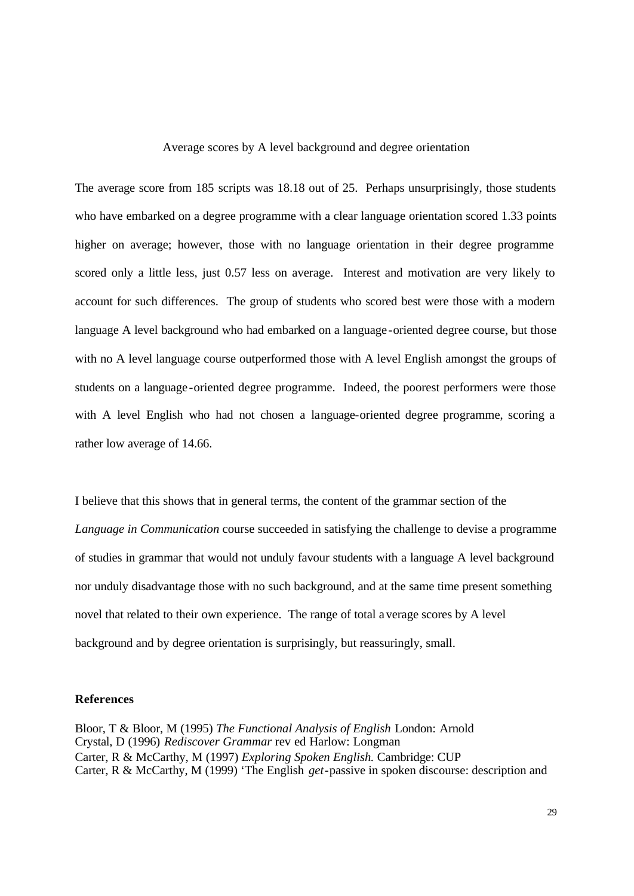Average scores by A level background and degree orientation

The average score from 185 scripts was 18.18 out of 25. Perhaps unsurprisingly, those students who have embarked on a degree programme with a clear language orientation scored 1.33 points higher on average; however, those with no language orientation in their degree programme scored only a little less, just 0.57 less on average. Interest and motivation are very likely to account for such differences. The group of students who scored best were those with a modern language A level background who had embarked on a language -oriented degree course, but those with no A level language course outperformed those with A level English amongst the groups of students on a language -oriented degree programme. Indeed, the poorest performers were those with A level English who had not chosen a language-oriented degree programme, scoring a rather low average of 14.66.

I believe that this shows that in general terms, the content of the grammar section of the *Language in Communication* course succeeded in satisfying the challenge to devise a programme of studies in grammar that would not unduly favour students with a language A level background nor unduly disadvantage those with no such background, and at the same time present something novel that related to their own experience. The range of total average scores by A level background and by degree orientation is surprisingly, but reassuringly, small.

### **References**

Bloor, T & Bloor, M (1995) *The Functional Analysis of English* London: Arnold Crystal, D (1996) *Rediscover Grammar* rev ed Harlow: Longman Carter, R & McCarthy, M (1997) *Exploring Spoken English.* Cambridge: CUP Carter, R & McCarthy, M (1999) 'The English *get*-passive in spoken discourse: description and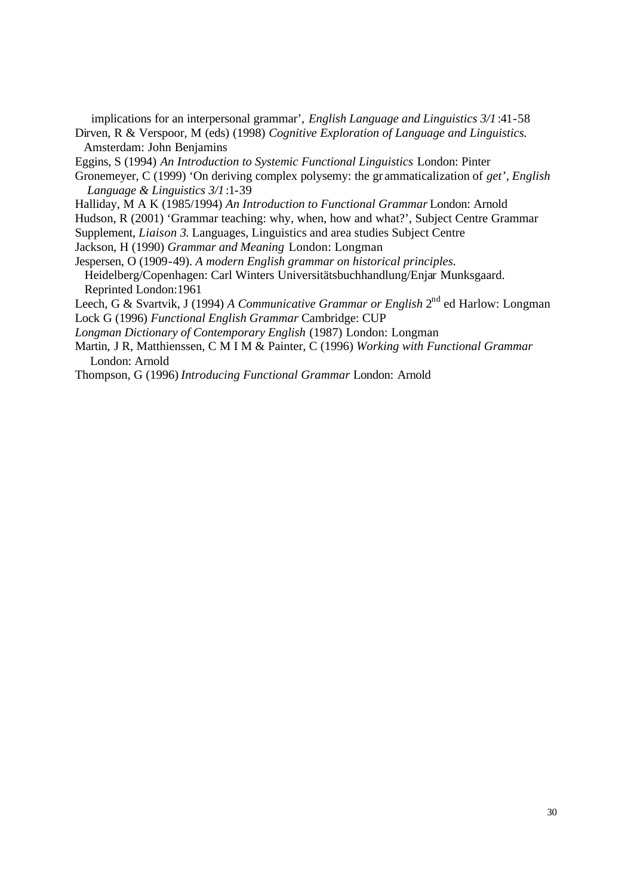implications for an interpersonal grammar', *English Language and Linguistics 3/1* :41-58

- Dirven, R & Verspoor, M (eds) (1998) *Cognitive Exploration of Language and Linguistics.* Amsterdam: John Benjamins
- Eggins, S (1994) *An Introduction to Systemic Functional Linguistics* London: Pinter
- Gronemeyer, C (1999) 'On deriving complex polysemy: the gr ammaticalization of *get*', *English Language & Linguistics 3/1*:1-39
- Halliday, M A K (1985/1994) *An Introduction to Functional Grammar* London: Arnold
- Hudson, R (2001) 'Grammar teaching: why, when, how and what?', Subject Centre Grammar
- Supplement, *Liaison 3*. Languages, Linguistics and area studies Subject Centre
- Jackson, H (1990) *Grammar and Meaning* London: Longman
- Jespersen, O (1909-49). *A modern English grammar on historical principles.* Heidelberg/Copenhagen: Carl Winters Universitätsbuchhandlung/Enjar Munksgaard. Reprinted London:1961
- Leech, G & Svartvik, J (1994) *A Communicative Grammar or English* 2<sup>nd</sup> ed Harlow: Longman Lock G (1996) *Functional English Grammar* Cambridge: CUP
- *Longman Dictionary of Contemporary English* (1987) London: Longman
- Martin, J R, Matthienssen, C M I M & Painter, C (1996) *Working with Functional Grammar* London: Arnold
- Thompson, G (1996) *Introducing Functional Grammar* London: Arnold